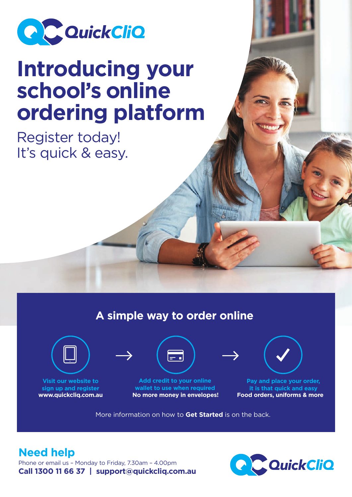

# **Introducing your school's online ordering platform**

Register today! It's quick & easy.

## **A simple way to order online**



**Visit our website to sign up and register**



**Add credit to your online wallet to use when required www.quickcliq.com.au No more money in envelopes! Food orders, uniforms & more**



**Pay and place your order, it is that quick and easy**

More information on how to **Get Started** is on the back.

## **Need help**

Phone or email us – Monday to Friday, 7.30am – 4.00pm **Call 1300 11 66 37 | support@quickcliq.com.au**